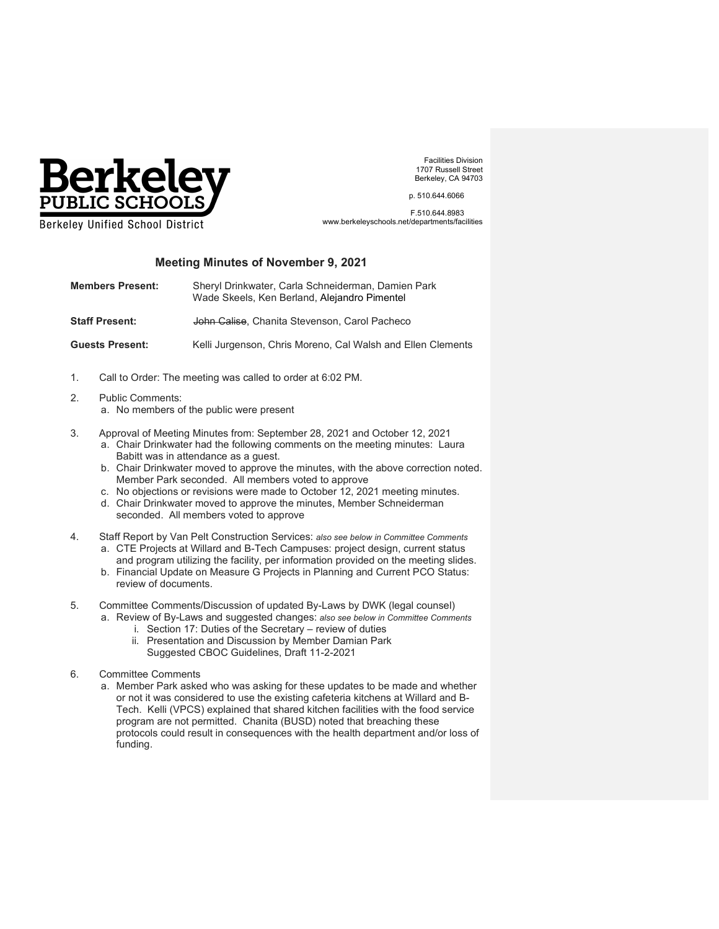

Facilities Division 1707 Russell Street Berkeley, CA 94703

p. 510.644.6066

 F.510.644.8983 www.berkeleyschools.net/departments/facilities

## **Meeting Minutes of November 9, 2021**

| <b>Members Present:</b> | Sheryl Drinkwater, Carla Schneiderman, Damien Park<br>Wade Skeels, Ken Berland, Alejandro Pimentel |
|-------------------------|----------------------------------------------------------------------------------------------------|
| <b>Staff Present:</b>   | John Calise, Chanita Stevenson, Carol Pacheco                                                      |
| <b>Guests Present:</b>  | Kelli Jurgenson, Chris Moreno, Cal Walsh and Ellen Clements                                        |

- 1. Call to Order: The meeting was called to order at 6:02 PM.
- 2. Public Comments:
	- a. No members of the public were present
- 3. Approval of Meeting Minutes from: September 28, 2021 and October 12, 2021
	- a. Chair Drinkwater had the following comments on the meeting minutes: Laura Babitt was in attendance as a guest.
	- b. Chair Drinkwater moved to approve the minutes, with the above correction noted. Member Park seconded. All members voted to approve
	- c. No objections or revisions were made to October 12, 2021 meeting minutes.
	- d. Chair Drinkwater moved to approve the minutes, Member Schneiderman seconded. All members voted to approve
- 4. Staff Report by Van Pelt Construction Services: *also see below in Committee Comments*
	- a. CTE Projects at Willard and B-Tech Campuses: project design, current status and program utilizing the facility, per information provided on the meeting slides.
	- b. Financial Update on Measure G Projects in Planning and Current PCO Status: review of documents.
- 5. Committee Comments/Discussion of updated By-Laws by DWK (legal counsel) a. Review of By-Laws and suggested changes: *also see below in Committee Comments*
	- i. Section 17: Duties of the Secretary review of duties
	- ii. Presentation and Discussion by Member Damian Park Suggested CBOC Guidelines, Draft 11-2-2021
- 6. Committee Comments
	- a. Member Park asked who was asking for these updates to be made and whether or not it was considered to use the existing cafeteria kitchens at Willard and B-Tech. Kelli (VPCS) explained that shared kitchen facilities with the food service program are not permitted. Chanita (BUSD) noted that breaching these protocols could result in consequences with the health department and/or loss of funding.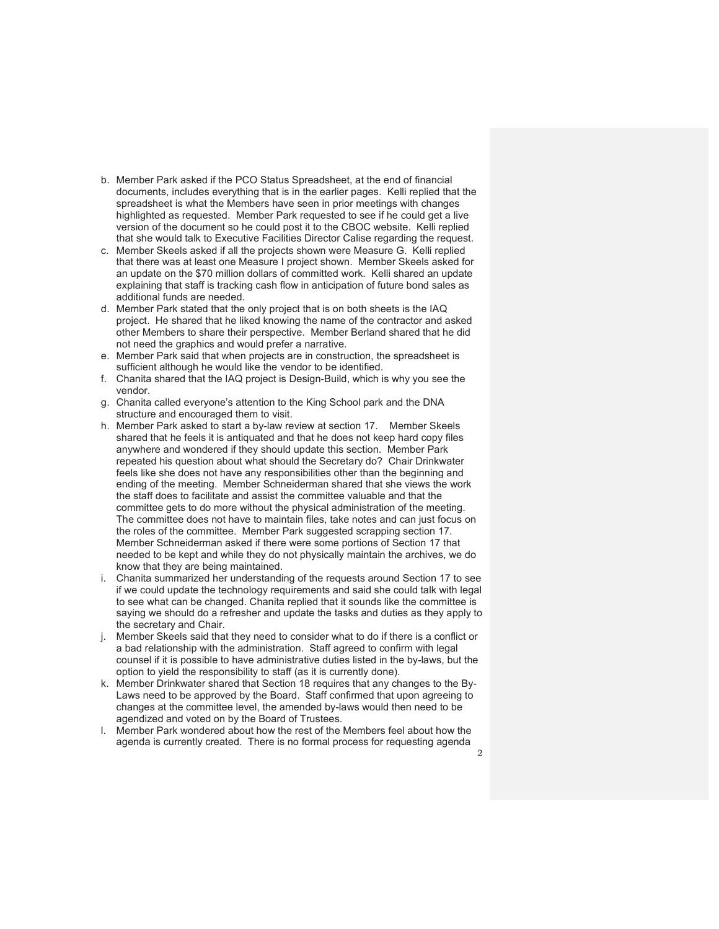- b. Member Park asked if the PCO Status Spreadsheet, at the end of financial documents, includes everything that is in the earlier pages. Kelli replied that the spreadsheet is what the Members have seen in prior meetings with changes highlighted as requested. Member Park requested to see if he could get a live version of the document so he could post it to the CBOC website. Kelli replied that she would talk to Executive Facilities Director Calise regarding the request.
- c. Member Skeels asked if all the projects shown were Measure G. Kelli replied that there was at least one Measure I project shown. Member Skeels asked for an update on the \$70 million dollars of committed work. Kelli shared an update explaining that staff is tracking cash flow in anticipation of future bond sales as additional funds are needed.
- d. Member Park stated that the only project that is on both sheets is the IAQ project. He shared that he liked knowing the name of the contractor and asked other Members to share their perspective. Member Berland shared that he did not need the graphics and would prefer a narrative.
- e. Member Park said that when projects are in construction, the spreadsheet is sufficient although he would like the vendor to be identified.
- f. Chanita shared that the IAQ project is Design-Build, which is why you see the vendor.
- g. Chanita called everyone's attention to the King School park and the DNA structure and encouraged them to visit.
- h. Member Park asked to start a by-law review at section 17. Member Skeels shared that he feels it is antiquated and that he does not keep hard copy files anywhere and wondered if they should update this section. Member Park repeated his question about what should the Secretary do? Chair Drinkwater feels like she does not have any responsibilities other than the beginning and ending of the meeting. Member Schneiderman shared that she views the work the staff does to facilitate and assist the committee valuable and that the committee gets to do more without the physical administration of the meeting. The committee does not have to maintain files, take notes and can just focus on the roles of the committee. Member Park suggested scrapping section 17. Member Schneiderman asked if there were some portions of Section 17 that needed to be kept and while they do not physically maintain the archives, we do know that they are being maintained.
- i. Chanita summarized her understanding of the requests around Section 17 to see if we could update the technology requirements and said she could talk with legal to see what can be changed. Chanita replied that it sounds like the committee is saying we should do a refresher and update the tasks and duties as they apply to the secretary and Chair.
- j. Member Skeels said that they need to consider what to do if there is a conflict or a bad relationship with the administration. Staff agreed to confirm with legal counsel if it is possible to have administrative duties listed in the by-laws, but the option to yield the responsibility to staff (as it is currently done).
- k. Member Drinkwater shared that Section 18 requires that any changes to the By-Laws need to be approved by the Board. Staff confirmed that upon agreeing to changes at the committee level, the amended by-laws would then need to be agendized and voted on by the Board of Trustees.
- l. Member Park wondered about how the rest of the Members feel about how the agenda is currently created. There is no formal process for requesting agenda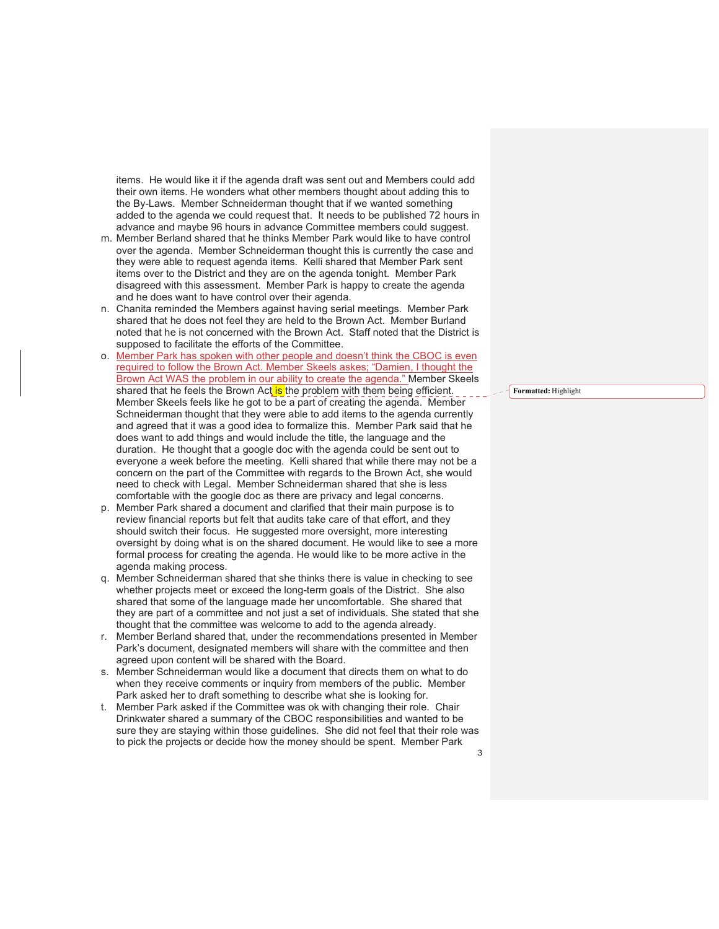items. He would like it if the agenda draft was sent out and Members could add their own items. He wonders what other members thought about adding this to the By-Laws. Member Schneiderman thought that if we wanted something added to the agenda we could request that. It needs to be published 72 hours in advance and maybe 96 hours in advance Committee members could suggest.

- m. Member Berland shared that he thinks Member Park would like to have control over the agenda. Member Schneiderman thought this is currently the case and they were able to request agenda items. Kelli shared that Member Park sent items over to the District and they are on the agenda tonight. Member Park disagreed with this assessment. Member Park is happy to create the agenda and he does want to have control over their agenda.
- n. Chanita reminded the Members against having serial meetings. Member Park shared that he does not feel they are held to the Brown Act. Member Burland noted that he is not concerned with the Brown Act. Staff noted that the District is supposed to facilitate the efforts of the Committee.
- o. Member Park has spoken with other people and doesn't think the CBOC is even required to follow the Brown Act. Member Skeels askes; "Damien, I thought the Brown Act WAS the problem in our ability to create the agenda." Member Skeels shared that he feels the Brown Act is the problem with them being efficient. Member Skeels feels like he got to be a part of creating the agenda. Member Schneiderman thought that they were able to add items to the agenda currently and agreed that it was a good idea to formalize this. Member Park said that he does want to add things and would include the title, the language and the duration. He thought that a google doc with the agenda could be sent out to everyone a week before the meeting. Kelli shared that while there may not be a concern on the part of the Committee with regards to the Brown Act, she would need to check with Legal. Member Schneiderman shared that she is less comfortable with the google doc as there are privacy and legal concerns.
- p. Member Park shared a document and clarified that their main purpose is to review financial reports but felt that audits take care of that effort, and they should switch their focus. He suggested more oversight, more interesting oversight by doing what is on the shared document. He would like to see a more formal process for creating the agenda. He would like to be more active in the agenda making process.
- q. Member Schneiderman shared that she thinks there is value in checking to see whether projects meet or exceed the long-term goals of the District. She also shared that some of the language made her uncomfortable. She shared that they are part of a committee and not just a set of individuals. She stated that she thought that the committee was welcome to add to the agenda already.
- r. Member Berland shared that, under the recommendations presented in Member Park's document, designated members will share with the committee and then agreed upon content will be shared with the Board.
- s. Member Schneiderman would like a document that directs them on what to do when they receive comments or inquiry from members of the public. Member Park asked her to draft something to describe what she is looking for.
- t. Member Park asked if the Committee was ok with changing their role. Chair Drinkwater shared a summary of the CBOC responsibilities and wanted to be sure they are staying within those guidelines. She did not feel that their role was to pick the projects or decide how the money should be spent. Member Park

**Formatted:** Highlight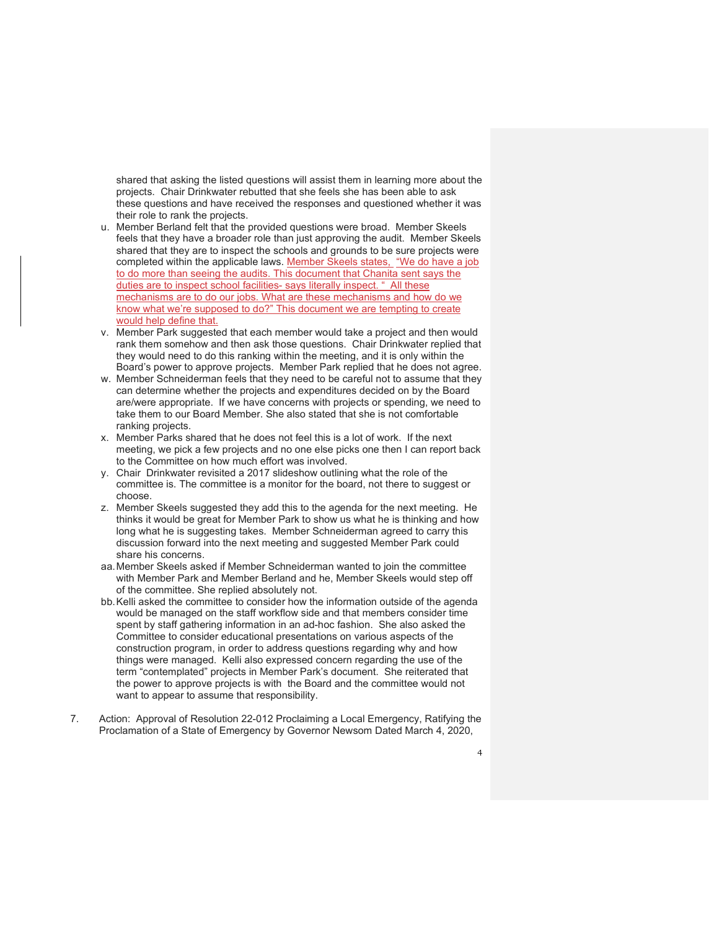shared that asking the listed questions will assist them in learning more about the projects. Chair Drinkwater rebutted that she feels she has been able to ask these questions and have received the responses and questioned whether it was their role to rank the projects.

- u. Member Berland felt that the provided questions were broad. Member Skeels feels that they have a broader role than just approving the audit. Member Skeels shared that they are to inspect the schools and grounds to be sure projects were completed within the applicable laws. Member Skeels states, "We do have a job to do more than seeing the audits. This document that Chanita sent says the duties are to inspect school facilities- says literally inspect. " All these mechanisms are to do our jobs. What are these mechanisms and how do we know what we're supposed to do?" This document we are tempting to create would help define that.
- v. Member Park suggested that each member would take a project and then would rank them somehow and then ask those questions. Chair Drinkwater replied that they would need to do this ranking within the meeting, and it is only within the Board's power to approve projects. Member Park replied that he does not agree.
- w. Member Schneiderman feels that they need to be careful not to assume that they can determine whether the projects and expenditures decided on by the Board are/were appropriate. If we have concerns with projects or spending, we need to take them to our Board Member. She also stated that she is not comfortable ranking projects.
- x. Member Parks shared that he does not feel this is a lot of work. If the next meeting, we pick a few projects and no one else picks one then I can report back to the Committee on how much effort was involved.
- y. Chair Drinkwater revisited a 2017 slideshow outlining what the role of the committee is. The committee is a monitor for the board, not there to suggest or choose.
- z. Member Skeels suggested they add this to the agenda for the next meeting. He thinks it would be great for Member Park to show us what he is thinking and how long what he is suggesting takes. Member Schneiderman agreed to carry this discussion forward into the next meeting and suggested Member Park could share his concerns.
- aa. Member Skeels asked if Member Schneiderman wanted to join the committee with Member Park and Member Berland and he, Member Skeels would step off of the committee. She replied absolutely not.
- bb. Kelli asked the committee to consider how the information outside of the agenda would be managed on the staff workflow side and that members consider time spent by staff gathering information in an ad-hoc fashion. She also asked the Committee to consider educational presentations on various aspects of the construction program, in order to address questions regarding why and how things were managed. Kelli also expressed concern regarding the use of the term "contemplated" projects in Member Park's document. She reiterated that the power to approve projects is with the Board and the committee would not want to appear to assume that responsibility.
- 7. Action: Approval of Resolution 22-012 Proclaiming a Local Emergency, Ratifying the Proclamation of a State of Emergency by Governor Newsom Dated March 4, 2020,